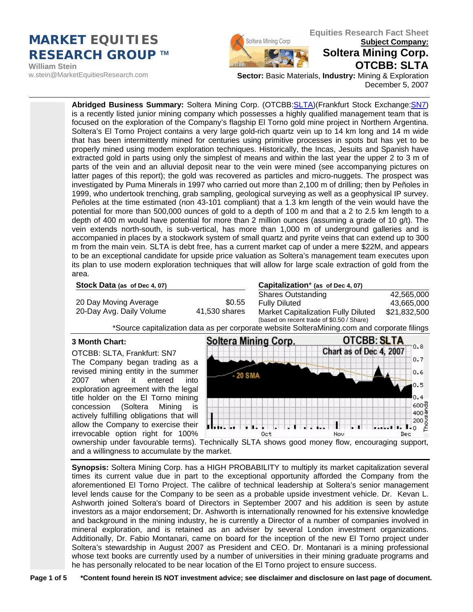## **Equities Research Fact Sheet**<br> **Equities Research Fact Sheet Subject Company: Subject Company:** *RESEARCH GROUP* **TM**

**William Stein**  w.stein@MarketEquitiesResearch.com



# **Soltera Mining Corp. OTCBB: SLTA**

**Sector:** Basic Materials, **Industry:** Mining & Exploration December 5, 2007

**Abridged Business Summary:** Soltera Mining Corp. (OTCBB[:SLTA](http://finance.google.com/finance?q=OTC%3ASLTA))(Frankfurt Stock Exchange[:SN7\)](http://finance.yahoo.com/q?s=sn7.f) is a recently listed junior mining company which possesses a highly qualified management team that is focused on the exploration of the Company's flagship El Torno gold mine project in Northern Argentina. Soltera's El Torno Project contains a very large gold-rich quartz vein up to 14 km long and 14 m wide that has been intermittently mined for centuries using primitive processes in spots but has yet to be properly mined using modem exploration techniques. Historically, the Incas, Jesuits and Spanish have extracted gold in parts using only the simplest of means and within the last year the upper 2 to 3 m of parts of the vein and an alluvial deposit near to the vein were mined (see accompanying pictures on latter pages of this report); the gold was recovered as particles and micro-nuggets. The prospect was investigated by Puma Minerals in 1997 who carried out more than 2,100 m of drilling; then by Peñoles in 1999, who undertook trenching, grab sampling, geological surveying as well as a geophysical IP survey. Peñoles at the time estimated (non 43-101 compliant) that a 1.3 km length of the vein would have the potential for more than 500,000 ounces of gold to a depth of 100 m and that a 2 to 2.5 km length to a depth of 400 m would have potential for more than 2 million ounces (assuming a grade of 10 g/t). The vein extends north-south, is sub-vertical, has more than 1,000 m of underground galleries and is accompanied in places by a stockwork system of small quartz and pyrite veins that can extend up to 300 m from the main vein. SLTA is debt free, has a current market cap of under a mere \$22M, and appears to be an exceptional candidate for upside price valuation as Soltera's management team executes upon its plan to use modern exploration techniques that will allow for large scale extraction of gold from the area.

41,530 shares

**Stock Data (as of Dec 4, 07) Capitalization**\* **(as of Dec 4, 07)**

| 20 Day Moving Average    |  |
|--------------------------|--|
| 20-Day Avg. Daily Volume |  |

|        | <b>Shares Outstanding</b> | 42,565,000 |
|--------|---------------------------|------------|
| \$0.55 | <b>Fully Diluted</b>      | 43,665,000 |

| Fully Diluted                              | 43,665,000   |
|--------------------------------------------|--------------|
| <b>Market Capitalization Fully Diluted</b> | \$21,832,500 |
| (based on recent trade of \$0.50 / Share)  |              |

\*Source capitalization data as per corporate website SolteraMining.com and corporate filings

## **3 Month Chart:**

OTCBB: SLTA, Frankfurt: SN7 The Company began trading as a revised mining entity in the summer 2007 when it entered into exploration agreement with the legal title holder on the El Torno mining concession (Soltera Mining is actively fulfilling obligations that will allow the Company to exercise their irrevocable option right for 100%



ownership under favourable terms). Technically SLTA shows good money flow, encouraging support, and a willingness to accumulate by the market.

 **Synopsis:** Soltera Mining Corp. has a HIGH PROBABILITY to multiply its market capitalization several times its current value due in part to the exceptional opportunity afforded the Company from the aforementioned El Torno Project. The calibre of technical leadership at Soltera's senior management level lends cause for the Company to be seen as a probable upside investment vehicle. Dr. Kevan L. Ashworth joined Soltera's board of Directors in September 2007 and his addition is seen by astute investors as a major endorsement; Dr. Ashworth is internationally renowned for his extensive knowledge and background in the mining industry, he is currently a Director of a number of companies involved in mineral exploration, and is retained as an adviser by several London investment organizations. Additionally, Dr. Fabio Montanari, came on board for the inception of the new El Torno project under Soltera's stewardship in August 2007 as President and CEO. Dr. Montanari is a mining professional whose text books are currently used by a number of universities in their mining graduate programs and he has personally relocated to be near location of the El Torno project to ensure success.

Page 1 of 5 \*Content found herein IS NOT investment advice; see disclaimer and disclosure on last page of document.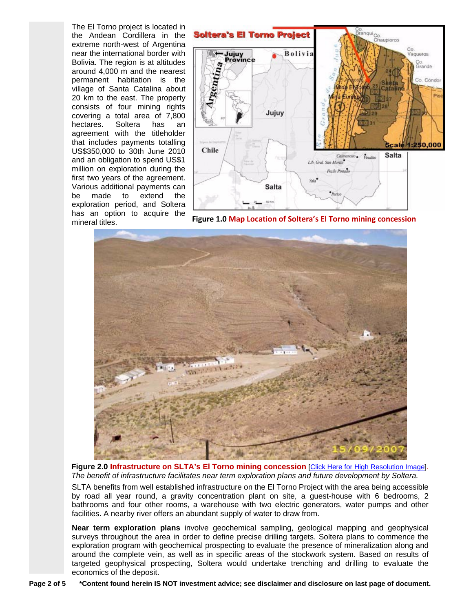The El Torno project is located in the Andean Cordillera in the extreme north-west of Argentina near the international border with Bolivia. The region is at altitudes around 4,000 m and the nearest permanent habitation is the village of Santa Catalina about 20 km to the east. The property consists of four mining rights covering a total area of 7,800 hectares. Soltera has an agreement with the titleholder that includes payments totalling US\$350,000 to 30th June 2010 and an obligation to spend US\$1 million on exploration during the first two years of the agreement. Various additional payments can be made to extend the exploration period, and Soltera has an option to acquire the mine[ral titles.](http://marketequitiesresearch.com/images/SLTAinfra.pdf)



**Figure 1.0 Map Location of Soltera's El Torno mining concession**



**Figure 2.0 Infrastructure on SLTA's El Torno mining concession** [[Click Here for High Resolution Image\]](http://marketequitiesresearch.com/images/SLTAinfra.pdf). *The benefit of infrastructure facilitates near term exploration plans and future development by Soltera.* 

SLTA benefits from well established infrastructure on the El Torno Project with the area being accessible by road all year round, a gravity concentration plant on site, a guest-house with 6 bedrooms, 2 bathrooms and four other rooms, a warehouse with two electric generators, water pumps and other facilities. A nearby river offers an abundant supply of water to draw from.

**Near term exploration plans** involve geochemical sampling, geological mapping and geophysical surveys throughout the area in order to define precise drilling targets. Soltera plans to commence the exploration program with geochemical prospecting to evaluate the presence of mineralization along and around the complete vein, as well as in specific areas of the stockwork system. Based on results of targeted geophysical prospecting, Soltera would undertake trenching and drilling to evaluate the economics of the deposit.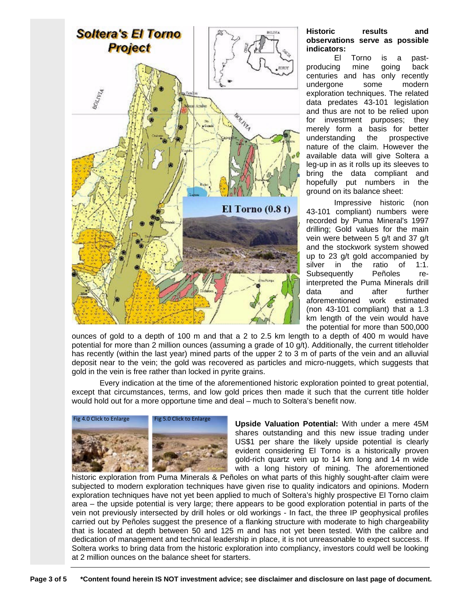

### **Historic results and observations serve as possible indicators:**

El Torno is a pastproducing mine going back centuries and has only recently undergone some modern exploration techniques. The related data predates 43-101 legislation and thus are not to be relied upon for investment purposes; they merely form a basis for better understanding the prospective nature of the claim. However the available data will give Soltera a leg-up in as it rolls up its sleeves to bring the data compliant and hopefully put numbers in the ground on its balance sheet:

Impressive historic (non 43-101 compliant) numbers were recorded by Puma Mineral's 1997 drilling; Gold values for the main vein were between 5 g/t and 37 g/t and the stockwork system showed up to 23 g/t gold accompanied by silver in the ratio of 1:1. Subsequently Peñoles reinterpreted the Puma Minerals drill data and after further aforementioned work estimated (non 43-101 compliant) that a 1.3 km length of the vein would have the potential for more than 500,000

ounces of gold to a depth of 100 m and that a 2 to 2.5 km length to a depth of 400 m would have potential for more than 2 million ounces (assuming a grade of 10 g/t). Additionally, the current titleholder has recently (within the last year) mined parts of the upper 2 to 3 m of parts of the vein and an alluvial deposit near to the vein; the gold was recovered as particles and micro-nuggets, which suggests that gold in the vein is free rather than locked in pyrite grains.

Every indication at the time of the aforementioned historic exploration pointed to great potential, except that circumstances, terms, and low gold prices then made it such that the current title holder would hold out for a more opportune time and deal – much to Soltera's benefit now.



**Upside Valuation Potential:** With under a mere 45M shares outstanding and this new issue trading under US\$1 per share the likely upside potential is clearly evident considering El Torno is a historically proven gold-rich quartz vein up to 14 km long and 14 m wide with a long history of mining. The aforementioned

histori[c exploration from Puma](http://marketequitiesresearch.com/images/SLTAgallies.pdf) [Minerals & Peñ](http://marketequitiesresearch.com/images/SLTAhistoricwk.pdf)oles on what parts of this highly sought-after claim were subjected to modern exploration techniques have given rise to quality indicators and opinions. Modern exploration techniques have not yet been applied to much of Soltera's highly prospective El Torno claim area – the upside potential is very large; there appears to be good exploration potential in parts of the vein not previously intersected by drill holes or old workings - In fact, the three IP geophysical profiles carried out by Peñoles suggest the presence of a flanking structure with moderate to high chargeability that is located at depth between 50 and 125 m and has not yet been tested. With the calibre and dedication of management and technical leadership in place, it is not unreasonable to expect success. If Soltera works to bring data from the historic exploration into compliancy, investors could well be looking at 2 million ounces on the balance sheet for starters.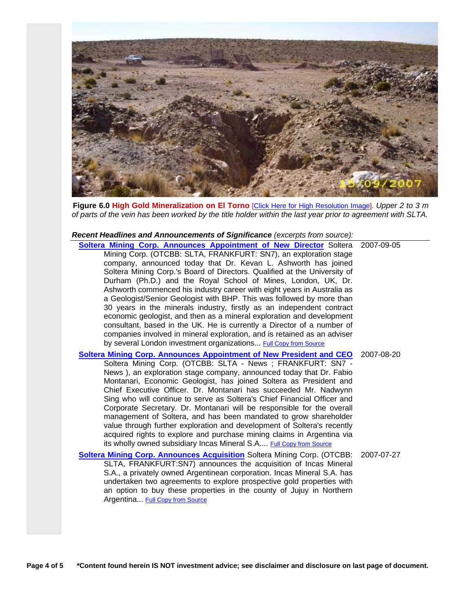

**Figure 6.0 High Gold Mineralization on El Torno** [[Click Here for High Resolution Image\]](http://marketequitiesresearch.com/images/SLTAmineralized.pdf). *Upper 2 to 3 m of parts of the vein has been worked by the title holder within the last year prior to agreement with SLTA.* 

#### *Recent Headlines and Announcements of Significance (excerpts from source):*

| Soltera Mining Corp. Announces Appointment of New Director Soltera 2007-09-05<br>Mining Corp. (OTCBB: SLTA, FRANKFURT: SN7), an exploration stage<br>company, announced today that Dr. Kevan L. Ashworth has joined<br>Soltera Mining Corp.'s Board of Directors. Qualified at the University of<br>Durham (Ph.D.) and the Royal School of Mines, London, UK, Dr.<br>Ashworth commenced his industry career with eight years in Australia as<br>a Geologist/Senior Geologist with BHP. This was followed by more than<br>30 years in the minerals industry, firstly as an independent contract<br>economic geologist, and then as a mineral exploration and development<br>consultant, based in the UK. He is currently a Director of a number of<br>companies involved in mineral exploration, and is retained as an adviser<br>by several London investment organizations Full Copy from Source |            |
|---------------------------------------------------------------------------------------------------------------------------------------------------------------------------------------------------------------------------------------------------------------------------------------------------------------------------------------------------------------------------------------------------------------------------------------------------------------------------------------------------------------------------------------------------------------------------------------------------------------------------------------------------------------------------------------------------------------------------------------------------------------------------------------------------------------------------------------------------------------------------------------------------|------------|
| <b>Soltera Mining Corp. Announces Appointment of New President and CEO</b><br>Soltera Mining Corp. (OTCBB: SLTA - News; FRANKFURT: SN7 -<br>News), an exploration stage company, announced today that Dr. Fabio<br>Montanari, Economic Geologist, has joined Soltera as President and<br>Chief Executive Officer. Dr. Montanari has succeeded Mr. Nadwynn<br>Sing who will continue to serve as Soltera's Chief Financial Officer and<br>Corporate Secretary. Dr. Montanari will be responsible for the overall<br>management of Soltera, and has been mandated to grow shareholder<br>value through further exploration and development of Soltera's recently<br>acquired rights to explore and purchase mining claims in Argentina via<br>its wholly owned subsidiary Incas Mineral S.A Full Copy from Source                                                                                   | 2007-08-20 |
| <b>Soltera Mining Corp. Announces Acquisition Soltera Mining Corp. (OTCBB:</b><br>SLTA, FRANKFURT:SN7) announces the acquisition of Incas Mineral<br>S.A., a privately owned Argentinean corporation. Incas Mineral S.A. has<br>undertaken two agreements to explore prospective gold properties with                                                                                                                                                                                                                                                                                                                                                                                                                                                                                                                                                                                             | 2007-07-27 |

**Page 4 of 5 \*Content found herein IS NOT investment advice; see disclaimer and disclosure on last page of document.** 

an option to buy these properties in the county of Jujuy in Northern

Argentina... [Full Copy from Source](http://www.solteramining.com/index.php?option=com_content&task=view&id=17&Itemid=58)